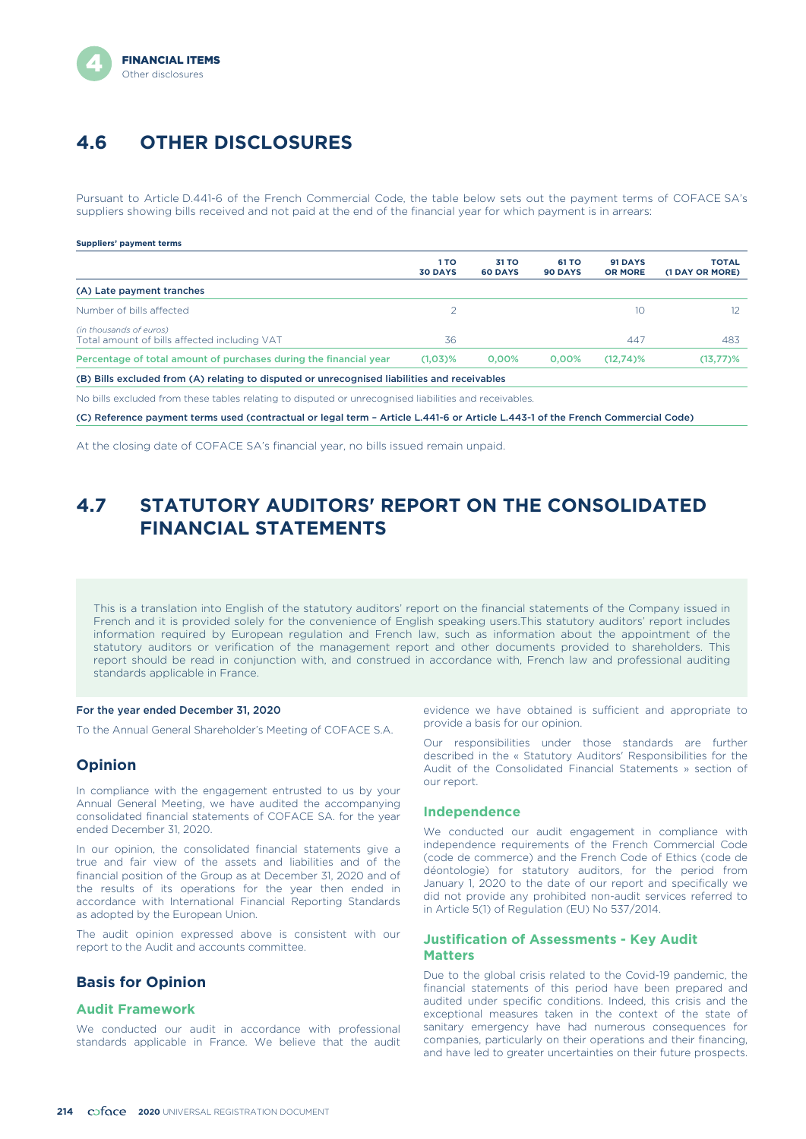# **4.6 OTHER DISCLOSURES**

Pursuant to Article D.441-6 of the French Commercial Code, the table below sets out the payment terms of COFACE SA's suppliers showing bills received and not paid at the end of the financial year for which payment is in arrears:

### **Suppliers' payment terms**

|                                                                                              | 1 TO<br><b>30 DAYS</b> | 31 TO<br><b>60 DAYS</b> | 61 TO<br>90 DAYS | 91 DAYS<br><b>OR MORE</b> | <b>TOTAL</b><br>(1 DAY OR MORE) |
|----------------------------------------------------------------------------------------------|------------------------|-------------------------|------------------|---------------------------|---------------------------------|
| (A) Late payment tranches                                                                    |                        |                         |                  |                           |                                 |
| Number of bills affected                                                                     |                        |                         |                  | 10                        |                                 |
| (in thousands of euros)<br>Total amount of bills affected including VAT                      | 36                     |                         |                  | 447                       | 483                             |
| Percentage of total amount of purchases during the financial year                            | $(1.03)$ %             | 0.00%                   | 0.00%            | $(12,74)\%$               | (13,77)%                        |
| (B) Bills excluded from (A) relating to disputed or unrecognised liabilities and receivables |                        |                         |                  |                           |                                 |

No bills excluded from these tables relating to disputed or unrecognised liabilities and receivables.

(C) Reference payment terms used (contractual or legal term – Article L.441-6 or Article L.443-1 of the French Commercial Code)

At the closing date of COFACE SA's financial year, no bills issued remain unpaid.

# **4.7 STATUTORY AUDITORS' REPORT ON THE CONSOLIDATED FINANCIAL STATEMENTS**

This is a translation into English of the statutory auditors' report on the financial statements of the Company issued in French and it is provided solely for the convenience of English speaking users.This statutory auditors' report includes information required by European regulation and French law, such as information about the appointment of the statutory auditors or verification of the management report and other documents provided to shareholders. This report should be read in conjunction with, and construed in accordance with, French law and professional auditing standards applicable in France.

### For the year ended December 31, 2020

To the Annual General Shareholder's Meeting of COFACE S.A.

### **Opinion**

In compliance with the engagement entrusted to us by your Annual General Meeting, we have audited the accompanying consolidated financial statements of COFACE SA. for the year ended December 31, 2020.

In our opinion, the consolidated financial statements give a true and fair view of the assets and liabilities and of the financial position of the Group as at December 31, 2020 and of the results of its operations for the year then ended in accordance with International Financial Reporting Standards as adopted by the European Union.

The audit opinion expressed above is consistent with our report to the Audit and accounts committee.

### **Basis for Opinion**

### **Audit Framework**

We conducted our audit in accordance with professional standards applicable in France. We believe that the audit

evidence we have obtained is sufficient and appropriate to provide a basis for our opinion.

Our responsibilities under those standards are further described in the « Statutory Auditors' Responsibilities for the Audit of the Consolidated Financial Statements » section of our report.

### **Independence**

We conducted our audit engagement in compliance with independence requirements of the French Commercial Code (code de commerce) and the French Code of Ethics (code de déontologie) for statutory auditors, for the period from January 1, 2020 to the date of our report and specifically we did not provide any prohibited non-audit services referred to in Article 5(1) of Regulation (EU) No 537/2014.

### **Justification of Assessments - Key Audit Matters**

Due to the global crisis related to the Covid-19 pandemic, the financial statements of this period have been prepared and audited under specific conditions. Indeed, this crisis and the exceptional measures taken in the context of the state of sanitary emergency have had numerous consequences for companies, particularly on their operations and their financing, and have led to greater uncertainties on their future prospects.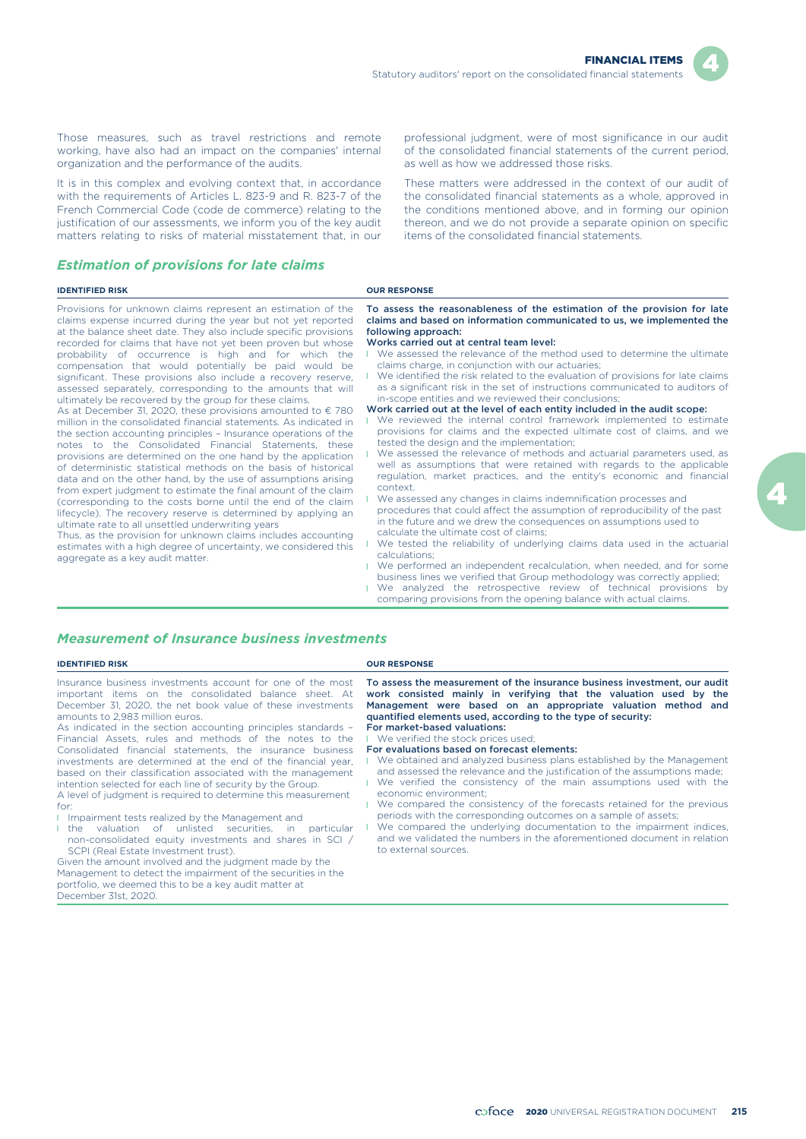

Those measures, such as travel restrictions and remote working, have also had an impact on the companies' internal organization and the performance of the audits.

It is in this complex and evolving context that, in accordance with the requirements of Articles L. 823-9 and R. 823-7 of the French Commercial Code (code de commerce) relating to the justification of our assessments, we inform you of the key audit matters relating to risks of material misstatement that, in our

### *Estimation of provisions for late claims*

### **IDENTIFIED RISK CONFIDENTIFIED RISK**

December 31st, 2020.

Provisions for unknown claims represent an estimation of the claims expense incurred during the year but not yet reported at the balance sheet date. They also include specific provisions recorded for claims that have not yet been proven but whose probability of occurrence is high and for which the compensation that would potentially be paid would be significant. These provisions also include a recovery reserve assessed separately, corresponding to the amounts that will ultimately be recovered by the group for these claims.

As at December 31, 2020, these provisions amounted to  $\epsilon$  780 million in the consolidated financial statements. As indicated in the section accounting principles – Insurance operations of the notes to the Consolidated Financial Statements, these provisions are determined on the one hand by the application of deterministic statistical methods on the basis of historical data and on the other hand, by the use of assumptions arising from expert judgment to estimate the final amount of the claim (corresponding to the costs borne until the end of the claim lifecycle). The recovery reserve is determined by applying an ultimate rate to all unsettled underwriting years

Thus, as the provision for unknown claims includes accounting estimates with a high degree of uncertainty, we considered this aggregate as a key audit matter.

professional judgment, were of most significance in our audit of the consolidated financial statements of the current period, as well as how we addressed those risks.

These matters were addressed in the context of our audit of the consolidated financial statements as a whole, approved in the conditions mentioned above, and in forming our opinion thereon, and we do not provide a separate opinion on specific items of the consolidated financial statements.

To assess the reasonableness of the estimation of the provision for late claims and based on information communicated to us, we implemented the following approach:

#### Works carried out at central team level:

- We assessed the relevance of the method used to determine the ultimate claims charge, in conjunction with our actuaries;
- l We identified the risk related to the evaluation of provisions for late claims as a significant risk in the set of instructions communicated to auditors of in-scope entities and we reviewed their conclusions;
- Work carried out at the level of each entity included in the audit scope:
- We reviewed the internal control framework implemented to estimate provisions for claims and the expected ultimate cost of claims, and we tested the design and the implementation;
- We assessed the relevance of methods and actuarial parameters used, as well as assumptions that were retained with regards to the applicable regulation, market practices, and the entity's economic and financial context.
- l We assessed any changes in claims indemnification processes and procedures that could affect the assumption of reproducibility of the past in the future and we drew the consequences on assumptions used to calculate the ultimate cost of claims;
- We tested the reliability of underlying claims data used in the actuarial calculations;
- l We performed an independent recalculation, when needed, and for some business lines we verified that Group methodology was correctly applied; **I** We analyzed the retrospective review of technical provisions by
- comparing provisions from the opening balance with actual claims.

### *Measurement of Insurance business investments*

**IDENTIFIED RISK OUR RESPONSE**

| Insurance business investments account for one of the most<br>important items on the consolidated balance sheet. At<br>December 31, 2020, the net book value of these investments<br>amounts to 2.983 million euros.<br>As indicated in the section accounting principles standards -<br>Financial Assets, rules and methods of the notes to the<br>Consolidated financial statements, the insurance business<br>investments are determined at the end of the financial year.<br>based on their classification associated with the management<br>intention selected for each line of security by the Group.<br>A level of judgment is required to determine this measurement<br>for:<br>I Impairment tests realized by the Management and<br>the valuation of unlisted securities, in particular<br>non-consolidated equity investments and shares in SCI /<br>SCPI (Real Estate Investment trust).<br>Given the amount involved and the judgment made by the<br>Management to detect the impairment of the securities in the<br>portfolio, we deemed this to be a key audit matter at | To assess the measurement of the insurance business investment, our audit<br>work consisted mainly in verifying that the valuation used by the<br>Management were based on an appropriate valuation method and<br>quantified elements used, according to the type of security:<br>For market-based valuations:<br>■ We verified the stock prices used;<br>For evaluations based on forecast elements:<br>We obtained and analyzed business plans established by the Management<br>and assessed the relevance and the justification of the assumptions made;<br>We verified the consistency of the main assumptions used with the<br>economic environment:<br>We compared the consistency of the forecasts retained for the previous<br>periods with the corresponding outcomes on a sample of assets;<br>We compared the underlying documentation to the impairment indices,<br>and we validated the numbers in the aforementioned document in relation<br>to external sources. |
|----------------------------------------------------------------------------------------------------------------------------------------------------------------------------------------------------------------------------------------------------------------------------------------------------------------------------------------------------------------------------------------------------------------------------------------------------------------------------------------------------------------------------------------------------------------------------------------------------------------------------------------------------------------------------------------------------------------------------------------------------------------------------------------------------------------------------------------------------------------------------------------------------------------------------------------------------------------------------------------------------------------------------------------------------------------------------------------|---------------------------------------------------------------------------------------------------------------------------------------------------------------------------------------------------------------------------------------------------------------------------------------------------------------------------------------------------------------------------------------------------------------------------------------------------------------------------------------------------------------------------------------------------------------------------------------------------------------------------------------------------------------------------------------------------------------------------------------------------------------------------------------------------------------------------------------------------------------------------------------------------------------------------------------------------------------------------------|

2020 UNIVERSAL REGISTRATION DOCUMENT **215**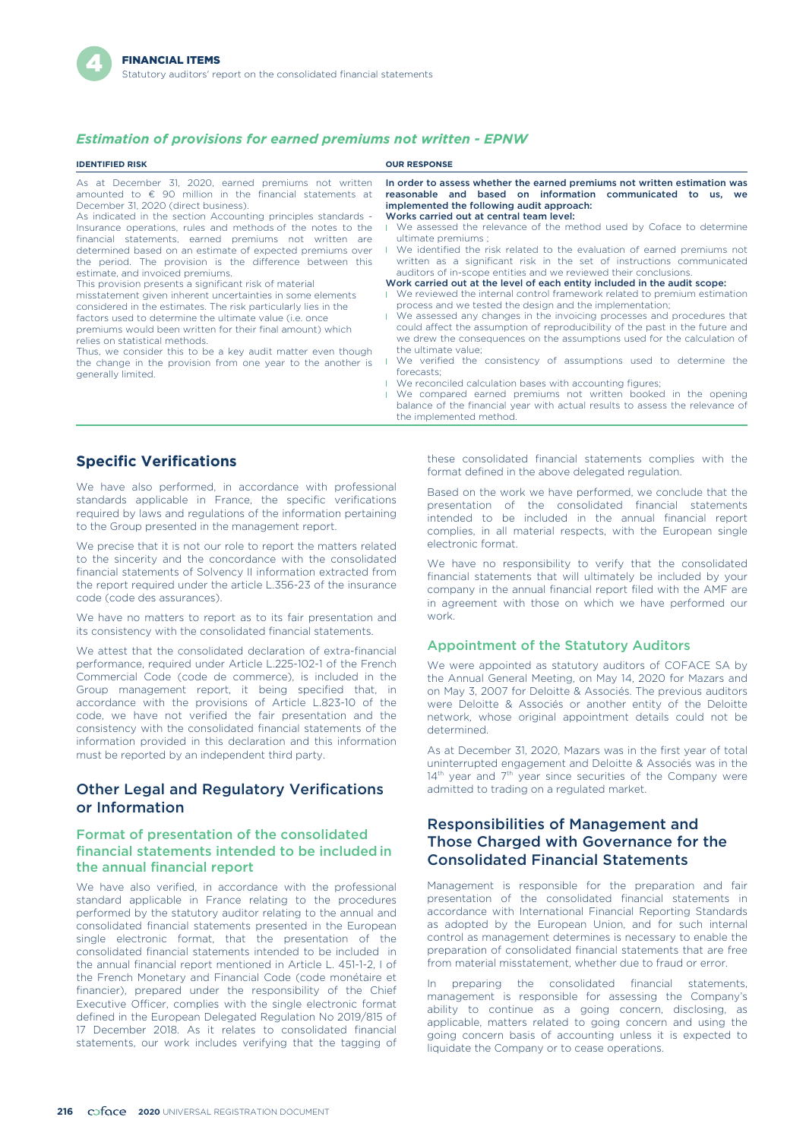### *Estimation of provisions for earned premiums not written - EPNW*

| <b>IDENTIFIED RISK</b>                                                                                                                                                                                                                                                                                                                                                                                                                                                                                                                                                                                                                                                                                                                                                                                                                                                                                                                                                                                                         | <b>OUR RESPONSE</b>                                                                                                                                                                                                                                                                                                                                                                                                                                                                                                                                                                                                                                                                                                                                                                                                                                                                                                                                                                                                                                                                                                                                                                                                                                                                                                                                                       |
|--------------------------------------------------------------------------------------------------------------------------------------------------------------------------------------------------------------------------------------------------------------------------------------------------------------------------------------------------------------------------------------------------------------------------------------------------------------------------------------------------------------------------------------------------------------------------------------------------------------------------------------------------------------------------------------------------------------------------------------------------------------------------------------------------------------------------------------------------------------------------------------------------------------------------------------------------------------------------------------------------------------------------------|---------------------------------------------------------------------------------------------------------------------------------------------------------------------------------------------------------------------------------------------------------------------------------------------------------------------------------------------------------------------------------------------------------------------------------------------------------------------------------------------------------------------------------------------------------------------------------------------------------------------------------------------------------------------------------------------------------------------------------------------------------------------------------------------------------------------------------------------------------------------------------------------------------------------------------------------------------------------------------------------------------------------------------------------------------------------------------------------------------------------------------------------------------------------------------------------------------------------------------------------------------------------------------------------------------------------------------------------------------------------------|
| As at December 31, 2020, earned premiums not written<br>amounted to $\epsilon$ 90 million in the financial statements at<br>December 31, 2020 (direct business).<br>As indicated in the section Accounting principles standards -<br>Insurance operations, rules and methods of the notes to the<br>financial statements, earned premiums not written are<br>determined based on an estimate of expected premiums over<br>the period. The provision is the difference between this<br>estimate, and invoiced premiums.<br>This provision presents a significant risk of material<br>misstatement given inherent uncertainties in some elements<br>considered in the estimates. The risk particularly lies in the<br>factors used to determine the ultimate value (i.e. once<br>premiums would been written for their final amount) which<br>relies on statistical methods.<br>Thus, we consider this to be a key audit matter even though<br>the change in the provision from one year to the another is<br>generally limited. | In order to assess whether the earned premiums not written estimation was<br>reasonable and based on information communicated to us, we<br>implemented the following audit approach:<br>Works carried out at central team level:<br>I We assessed the relevance of the method used by Coface to determine<br>ultimate premiums :<br>We identified the risk related to the evaluation of earned premiums not<br>written as a significant risk in the set of instructions communicated<br>auditors of in-scope entities and we reviewed their conclusions.<br>Work carried out at the level of each entity included in the audit scope:<br>■ We reviewed the internal control framework related to premium estimation<br>process and we tested the design and the implementation;<br>■ We assessed any changes in the invoicing processes and procedures that<br>could affect the assumption of reproducibility of the past in the future and<br>we drew the consequences on the assumptions used for the calculation of<br>the ultimate value:<br>We verified the consistency of assumptions used to determine the<br>forecasts:<br>■ We reconciled calculation bases with accounting figures;<br>We compared earned premiums not written booked in the opening<br>balance of the financial year with actual results to assess the relevance of<br>the implemented method. |

### **Specific Verifications**

We have also performed, in accordance with professional standards applicable in France, the specific verifications required by laws and regulations of the information pertaining to the Group presented in the management report.

We precise that it is not our role to report the matters related to the sincerity and the concordance with the consolidated financial statements of Solvency II information extracted from the report required under the article L.356-23 of the insurance code (code des assurances).

We have no matters to report as to its fair presentation and its consistency with the consolidated financial statements.

We attest that the consolidated declaration of extra-financial performance, required under Article L.225-102-1 of the French Commercial Code (code de commerce), is included in the Group management report, it being specified that, in accordance with the provisions of Article L.823-10 of the code, we have not verified the fair presentation and the consistency with the consolidated financial statements of the information provided in this declaration and this information must be reported by an independent third party.

### Other Legal and Regulatory Verifications or Information

### Format of presentation of the consolidated financial statements intended to be included in the annual financial report

We have also verified, in accordance with the professional standard applicable in France relating to the procedures performed by the statutory auditor relating to the annual and consolidated financial statements presented in the European single electronic format, that the presentation of the consolidated financial statements intended to be included in the annual financial report mentioned in Article L. 451-1-2, I of the French Monetary and Financial Code (code monétaire et financier), prepared under the responsibility of the Chief Executive Officer, complies with the single electronic format defined in the European Delegated Regulation No 2019/815 of 17 December 2018. As it relates to consolidated financial statements, our work includes verifying that the tagging of these consolidated financial statements complies with the format defined in the above delegated regulation.

Based on the work we have performed, we conclude that the presentation of the consolidated financial statements intended to be included in the annual financial report complies, in all material respects, with the European single electronic format.

We have no responsibility to verify that the consolidated financial statements that will ultimately be included by your company in the annual financial report filed with the AMF are in agreement with those on which we have performed our work.

### Appointment of the Statutory Auditors

We were appointed as statutory auditors of COFACE SA by the Annual General Meeting, on May 14, 2020 for Mazars and on May 3, 2007 for Deloitte & Associés. The previous auditors were Deloitte & Associés or another entity of the Deloitte network, whose original appointment details could not be determined.

As at December 31, 2020, Mazars was in the first year of total uninterrupted engagement and Deloitte & Associés was in the 14<sup>th</sup> year and 7<sup>th</sup> year since securities of the Company were admitted to trading on a regulated market.

### Responsibilities of Management and Those Charged with Governance for the Consolidated Financial Statements

Management is responsible for the preparation and fair presentation of the consolidated financial statements in accordance with International Financial Reporting Standards as adopted by the European Union, and for such internal control as management determines is necessary to enable the preparation of consolidated financial statements that are free from material misstatement, whether due to fraud or error.

preparing the consolidated financial statements, management is responsible for assessing the Company's ability to continue as a going concern, disclosing, as applicable, matters related to going concern and using the going concern basis of accounting unless it is expected to liquidate the Company or to cease operations.